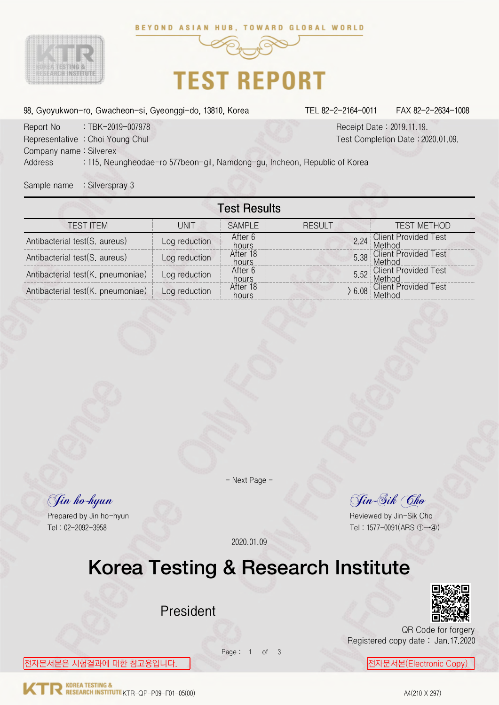



## **TEST REPORT**

98, Gyoyukwon-ro, Gwacheon-si, Gyeonggi-do, 13810, Korea TEL 82-2-2164-0011 FAX 82-2-2634-1008

Report No : TBK-2019-007978 Receipt Date : 2019.11.19. Representative : Choi Young Chul Test Completion Date : 2020.01.09. Company name : Silverex Address : 115, Neungheodae-ro 577beon-gil, Namdong-gu, Incheon, Republic of Korea

Sample name : Silverspray 3

|                                   |               | <b>Test Results</b> |               |      |                                       |
|-----------------------------------|---------------|---------------------|---------------|------|---------------------------------------|
| <b>TEST ITEM</b>                  | UNIT          | <b>SAMPLE</b>       | <b>RESULT</b> |      | <b>TEST METHOD</b>                    |
| Antibacterial test(S. aureus)     | Log reduction | After 6<br>hours    |               | 2.24 | <b>Client Provided Test</b><br>Method |
| Antibacterial test(S. aureus)     | Log reduction | After 18<br>hours   |               |      | 5.38 Client Provided Test<br>Method   |
| Antibacterial test(K. pneumoniae) | Log reduction | After 6<br>hours    |               |      | 5.52 Client Provided Test             |
| Antibacterial test(K. pneumoniae) | Log reduction | After 18<br>hours   |               |      | 6.08 Client Provided Test             |

- Next Page -

Jin ho-hyun Jin-Sik Cho

Prepared by Jin ho-hyun **Prepared by Jin-Sik Cho** Tel : 02-2092-3958 Tel : 1577-0091(ARS ①→④)

2020.01.09

#### Korea Testing & Research Institute

Page: 1 of 3

President



QR Code for forgery Registered copy date : Jan.17.2020

전자문서본은 시험결과에 대한 참고용입니다. ┃ <mark>전자문서본(Electronic Copy)</mark>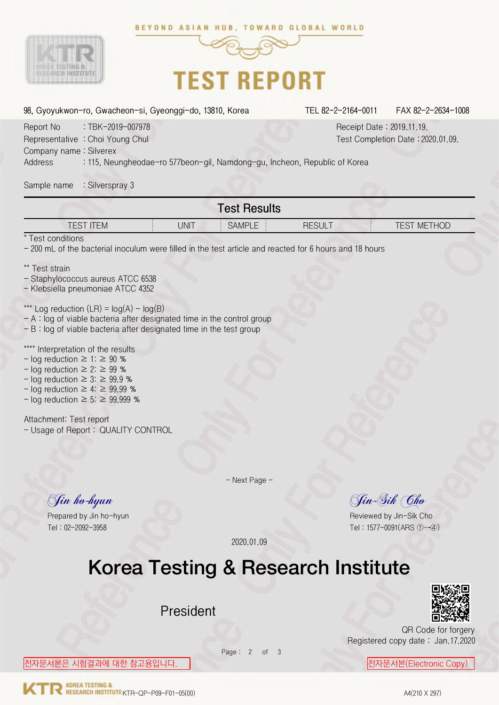



c

# **TEST REPORT**

| 98, Gyoyukwon-ro, Gwacheon-si, Gyeonggi-do, 13810, Korea                                                                                                                                                                                             | TEL 82-2-2164-0011<br>FAX 82-2-2634-1008                       |
|------------------------------------------------------------------------------------------------------------------------------------------------------------------------------------------------------------------------------------------------------|----------------------------------------------------------------|
| Report No<br>: TBK-2019-007978<br>Representative : Choi Young Chul<br>Company name: Silverex                                                                                                                                                         | Receipt Date: 2019.11.19.<br>Test Completion Date: 2020.01.09. |
| Address<br>: 115, Neungheodae-ro 577beon-gil, Namdong-gu, Incheon, Republic of Korea                                                                                                                                                                 |                                                                |
| : Silverspray 3<br>Sample name                                                                                                                                                                                                                       |                                                                |
| <b>Test Results</b>                                                                                                                                                                                                                                  |                                                                |
| <b>TEST ITEM</b><br><b>UNIT</b><br><b>SAMPLE</b>                                                                                                                                                                                                     | <b>RESULT</b><br><b>TEST METHOD</b>                            |
| * Test conditions<br>- 200 mL of the bacterial inoculum were filled in the test article and reacted for 6 hours and 18 hours                                                                                                                         |                                                                |
| ** Test strain<br>- Staphylococcus aureus ATCC 6538<br>- Klebsiella pneumoniae ATCC 4352                                                                                                                                                             |                                                                |
| Log reduction $(LR) = log(A) - log(B)$<br>$- A$ : log of viable bacteria after designated time in the control group<br>$- B$ : log of viable bacteria after designated time in the test group                                                        |                                                                |
| Interpretation of the results<br>- log reduction $\geq$ 1: $\geq$ 90 %<br>- log reduction $\geq$ 2: $\geq$ 99 %<br>- log reduction $\geq$ 3: $\geq$ 99.9 %<br>- log reduction $\geq 4$ : $\geq 99.99$ %<br>- log reduction $\geq$ 5: $\geq$ 99.999 % |                                                                |
| Attachment: Test report<br>- Usage of Report: QUALITY CONTROL                                                                                                                                                                                        |                                                                |
|                                                                                                                                                                                                                                                      |                                                                |
| - Next Page -                                                                                                                                                                                                                                        |                                                                |
| Jin ho-hyun                                                                                                                                                                                                                                          | Jin-Sik Cho                                                    |
| Prepared by Jin ho-hyun<br>Tel: 02-2092-3958                                                                                                                                                                                                         | Reviewed by Jin-Sik Cho                                        |
| 2020.01.09                                                                                                                                                                                                                                           | Tel: 1577-0091(ARS ①→④)                                        |
| Korea Testing & Research Institute                                                                                                                                                                                                                   |                                                                |
|                                                                                                                                                                                                                                                      |                                                                |
| President                                                                                                                                                                                                                                            |                                                                |
|                                                                                                                                                                                                                                                      | QR Code for forgery                                            |

Registered copy date : Jan.17.2020

Page: 2 of 3

전자문서본은 시험결과에 대한 참고용입니다. 전자문서본(Electronic Copy)